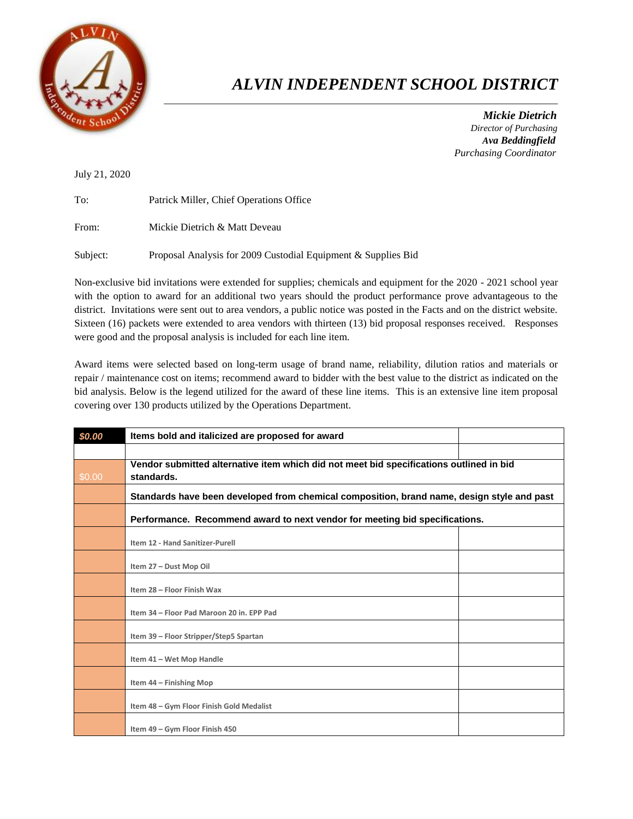

## *ALVIN INDEPENDENT SCHOOL DISTRICT*

 *Mickie Dietrich Director of Purchasing Ava Beddingfield Purchasing Coordinator*

July 21, 2020

| To:   | Patrick Miller, Chief Operations Office |
|-------|-----------------------------------------|
| From: | Mickie Dietrich & Matt Deveau           |

Subject: Proposal Analysis for 2009 Custodial Equipment & Supplies Bid

Non-exclusive bid invitations were extended for supplies; chemicals and equipment for the 2020 - 2021 school year with the option to award for an additional two years should the product performance prove advantageous to the district. Invitations were sent out to area vendors, a public notice was posted in the Facts and on the district website. Sixteen (16) packets were extended to area vendors with thirteen (13) bid proposal responses received. Responses were good and the proposal analysis is included for each line item.

Award items were selected based on long-term usage of brand name, reliability, dilution ratios and materials or repair / maintenance cost on items; recommend award to bidder with the best value to the district as indicated on the bid analysis. Below is the legend utilized for the award of these line items. This is an extensive line item proposal covering over 130 products utilized by the Operations Department.

| \$0.00 | Items bold and italicized are proposed for award                                                      |  |  |
|--------|-------------------------------------------------------------------------------------------------------|--|--|
|        |                                                                                                       |  |  |
| \$0.00 | Vendor submitted alternative item which did not meet bid specifications outlined in bid<br>standards. |  |  |
|        |                                                                                                       |  |  |
|        | Standards have been developed from chemical composition, brand name, design style and past            |  |  |
|        | Performance. Recommend award to next vendor for meeting bid specifications.                           |  |  |
|        | Item 12 - Hand Sanitizer-Purell                                                                       |  |  |
|        | Item 27 - Dust Mop Oil                                                                                |  |  |
|        | Item 28 - Floor Finish Wax                                                                            |  |  |
|        | Item 34 - Floor Pad Maroon 20 in, EPP Pad                                                             |  |  |
|        | Item 39 - Floor Stripper/Step5 Spartan                                                                |  |  |
|        | Item 41 - Wet Mop Handle                                                                              |  |  |
|        | Item 44 - Finishing Mop                                                                               |  |  |
|        | Item 48 - Gym Floor Finish Gold Medalist                                                              |  |  |
|        | Item 49 - Gym Floor Finish 450                                                                        |  |  |